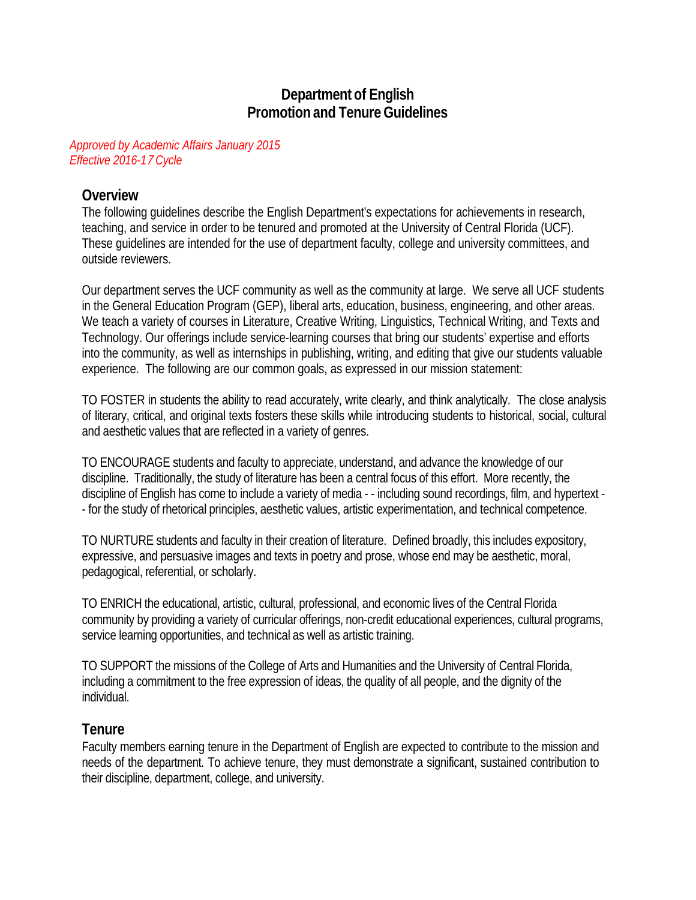# **Department of English Promotion and TenureGuidelines**

#### *Approved by Academic Affairs January 2015 Effective 2016-1*7 *Cycle*

### **Overview**

The following guidelines describe the English Department's expectations for achievements in research, teaching, and service in order to be tenured and promoted at the University of Central Florida (UCF). These guidelines are intended for the use of department faculty, college and university committees, and outside reviewers.

Our department serves the UCF community as well as the community at large. We serve all UCF students in the General Education Program (GEP), liberal arts, education, business, engineering, and other areas. We teach a variety of courses in Literature, Creative Writing, Linguistics, Technical Writing, and Texts and Technology. Our offerings include service-learning courses that bring our students' expertise and efforts into the community, as well as internships in publishing, writing, and editing that give our students valuable experience. The following are our common goals, as expressed in our mission statement:

TO FOSTER in students the ability to read accurately, write clearly, and think analytically. The close analysis of literary, critical, and original texts fosters these skills while introducing students to historical, social, cultural and aesthetic values that are reflected in a variety of genres.

TO ENCOURAGE students and faculty to appreciate, understand, and advance the knowledge of our discipline. Traditionally, the study of literature has been a central focus of this effort. More recently, the discipline of English has come to include a variety of media - - including sound recordings, film, and hypertext - - for the study of rhetorical principles, aesthetic values, artistic experimentation, and technical competence.

TO NURTURE students and faculty in their creation of literature. Defined broadly, this includes expository, expressive, and persuasive images and texts in poetry and prose, whose end may be aesthetic, moral, pedagogical, referential, or scholarly.

TO ENRICH the educational, artistic, cultural, professional, and economic lives of the Central Florida community by providing a variety of curricular offerings, non-credit educational experiences, cultural programs, service learning opportunities, and technical as well as artistic training.

TO SUPPORT the missions of the College of Arts and Humanities and the University of Central Florida, including a commitment to the free expression of ideas, the quality of all people, and the dignity of the individual.

#### **Tenure**

Faculty members earning tenure in the Department of English are expected to contribute to the mission and needs of the department. To achieve tenure, they must demonstrate a significant, sustained contribution to their discipline, department, college, and university.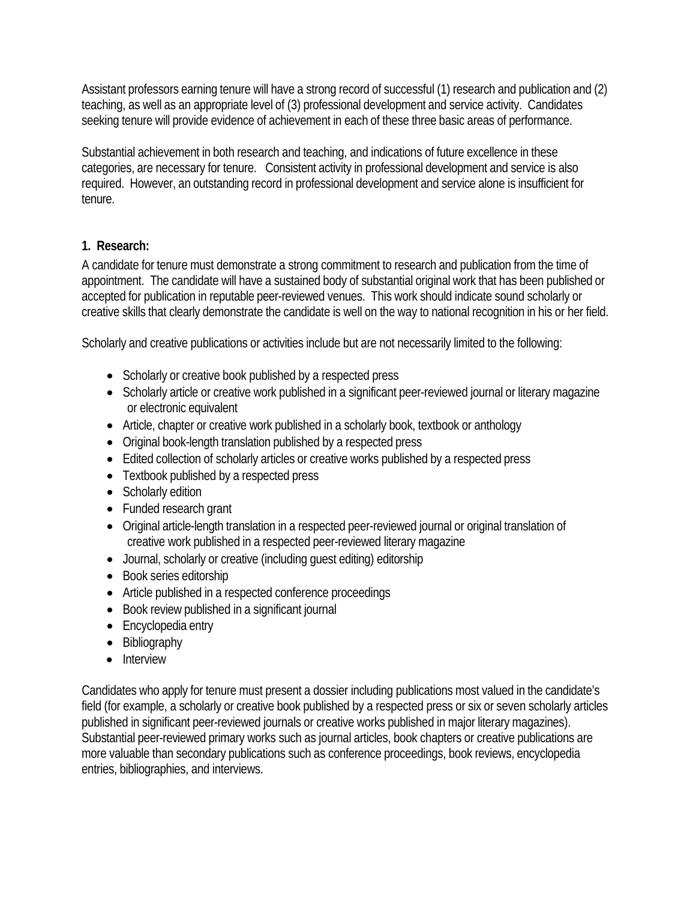Assistant professors earning tenure will have a strong record of successful (1) research and publication and (2) teaching, as well as an appropriate level of (3) professional development and service activity. Candidates seeking tenure will provide evidence of achievement in each of these three basic areas of performance.

Substantial achievement in both research and teaching, and indications of future excellence in these categories, are necessary for tenure. Consistent activity in professional development and service is also required. However, an outstanding record in professional development and service alone is insufficient for tenure.

### **1. Research:**

A candidate for tenure must demonstrate a strong commitment to research and publication from the time of appointment. The candidate will have a sustained body of substantial original work that has been published or accepted for publication in reputable peer-reviewed venues. This work should indicate sound scholarly or creative skills that clearly demonstrate the candidate is well on the way to national recognition in his or her field.

Scholarly and creative publications or activities include but are not necessarily limited to the following:

- Scholarly or creative book published by a respected press
- Scholarly article or creative work published in a significant peer-reviewed journal or literary magazine or electronic equivalent
- Article, chapter or creative work published in a scholarly book, textbook or anthology
- Original book-length translation published by a respected press
- Edited collection of scholarly articles or creative works published by a respected press
- Textbook published by a respected press
- Scholarly edition
- Funded research grant
- Original article-length translation in a respected peer-reviewed journal or original translation of creative work published in a respected peer-reviewed literary magazine
- Journal, scholarly or creative (including guest editing) editorship
- Book series editorship
- Article published in a respected conference proceedings
- Book review published in a significant journal
- Encyclopedia entry
- Bibliography
- Interview

Candidates who apply for tenure must present a dossier including publications most valued in the candidate's field (for example, a scholarly or creative book published by a respected press or six or seven scholarly articles published in significant peer-reviewed journals or creative works published in major literary magazines). Substantial peer-reviewed primary works such as journal articles, book chapters or creative publications are more valuable than secondary publications such as conference proceedings, book reviews, encyclopedia entries, bibliographies, and interviews.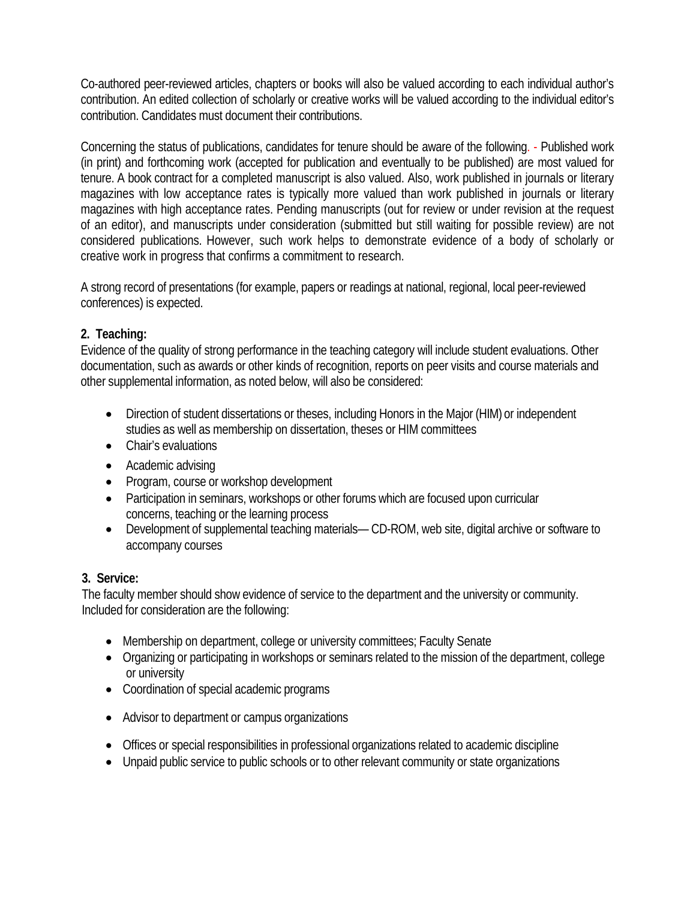Co-authored peer-reviewed articles, chapters or books will also be valued according to each individual author's contribution. An edited collection of scholarly or creative works will be valued according to the individual editor's contribution. Candidates must document their contributions.

Concerning the status of publications, candidates for tenure should be aware of the following. - Published work (in print) and forthcoming work (accepted for publication and eventually to be published) are most valued for tenure. A book contract for a completed manuscript is also valued. Also, work published in journals or literary magazines with low acceptance rates is typically more valued than work published in journals or literary magazines with high acceptance rates. Pending manuscripts (out for review or under revision at the request of an editor), and manuscripts under consideration (submitted but still waiting for possible review) are not considered publications. However, such work helps to demonstrate evidence of a body of scholarly or creative work in progress that confirms a commitment to research.

A strong record of presentations (for example, papers or readings at national, regional, local peer-reviewed conferences) is expected.

### **2. Teaching:**

Evidence of the quality of strong performance in the teaching category will include student evaluations. Other documentation, such as awards or other kinds of recognition, reports on peer visits and course materials and other supplemental information, as noted below, will also be considered:

- Direction of student dissertations or theses, including Honors in the Major (HIM) or independent studies as well as membership on dissertation, theses or HIM committees
- Chair's evaluations
- Academic advising
- Program, course or workshop development
- Participation in seminars, workshops or other forums which are focused upon curricular concerns, teaching or the learning process
- Development of supplemental teaching materials— CD-ROM, web site, digital archive or software to accompany courses

### **3. Service:**

The faculty member should show evidence of service to the department and the university or community. Included for consideration are the following:

- Membership on department, college or university committees; Faculty Senate
- Organizing or participating in workshops or seminars related to the mission of the department, college or university
- Coordination of special academic programs
- Advisor to department or campus organizations
- Offices or special responsibilities in professional organizations related to academic discipline
- Unpaid public service to public schools or to other relevant community or state organizations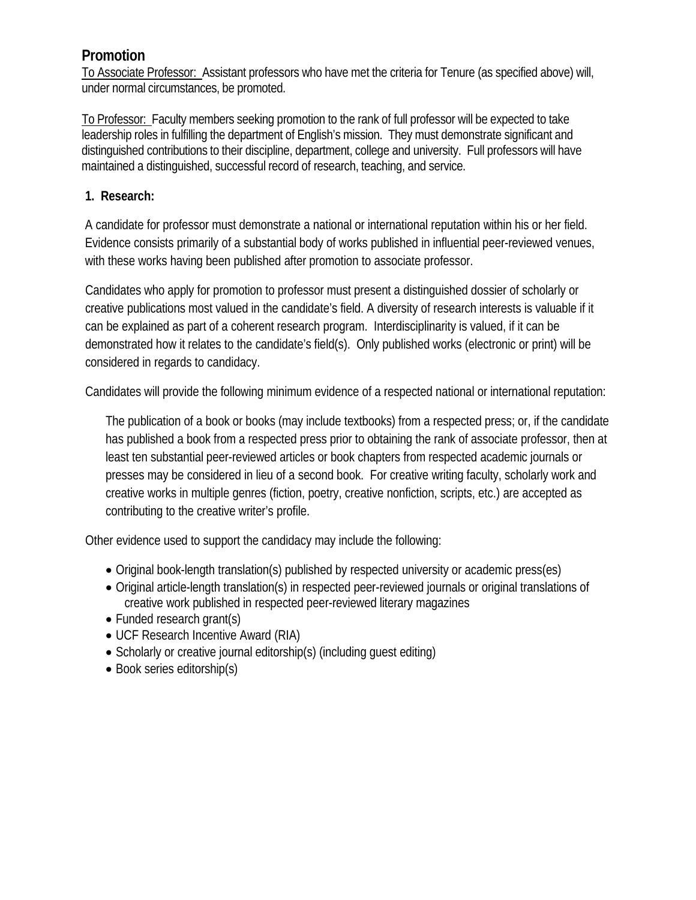# **Promotion**

To Associate Professor: Assistant professors who have met the criteria for Tenure (as specified above) will, under normal circumstances, be promoted.

To Professor: Faculty members seeking promotion to the rank of full professor will be expected to take leadership roles in fulfilling the department of English's mission. They must demonstrate significant and distinguished contributions to their discipline, department, college and university. Full professors will have maintained a distinguished, successful record of research, teaching, and service.

### **1. Research:**

A candidate for professor must demonstrate a national or international reputation within his or her field. Evidence consists primarily of a substantial body of works published in influential peer-reviewed venues, with these works having been published after promotion to associate professor.

Candidates who apply for promotion to professor must present a distinguished dossier of scholarly or creative publications most valued in the candidate's field. A diversity of research interests is valuable if it can be explained as part of a coherent research program. Interdisciplinarity is valued, if it can be demonstrated how it relates to the candidate's field(s). Only published works (electronic or print) will be considered in regards to candidacy.

Candidates will provide the following minimum evidence of a respected national or international reputation:

The publication of a book or books (may include textbooks) from a respected press; or, if the candidate has published a book from a respected press prior to obtaining the rank of associate professor, then at least ten substantial peer-reviewed articles or book chapters from respected academic journals or presses may be considered in lieu of a second book. For creative writing faculty, scholarly work and creative works in multiple genres (fiction, poetry, creative nonfiction, scripts, etc.) are accepted as contributing to the creative writer's profile.

Other evidence used to support the candidacy may include the following:

- Original book-length translation(s) published by respected university or academic press(es)
- Original article-length translation(s) in respected peer-reviewed journals or original translations of creative work published in respected peer-reviewed literary magazines
- Funded research grant(s)
- UCF Research Incentive Award (RIA)
- Scholarly or creative journal editorship(s) (including guest editing)
- Book series editorship(s)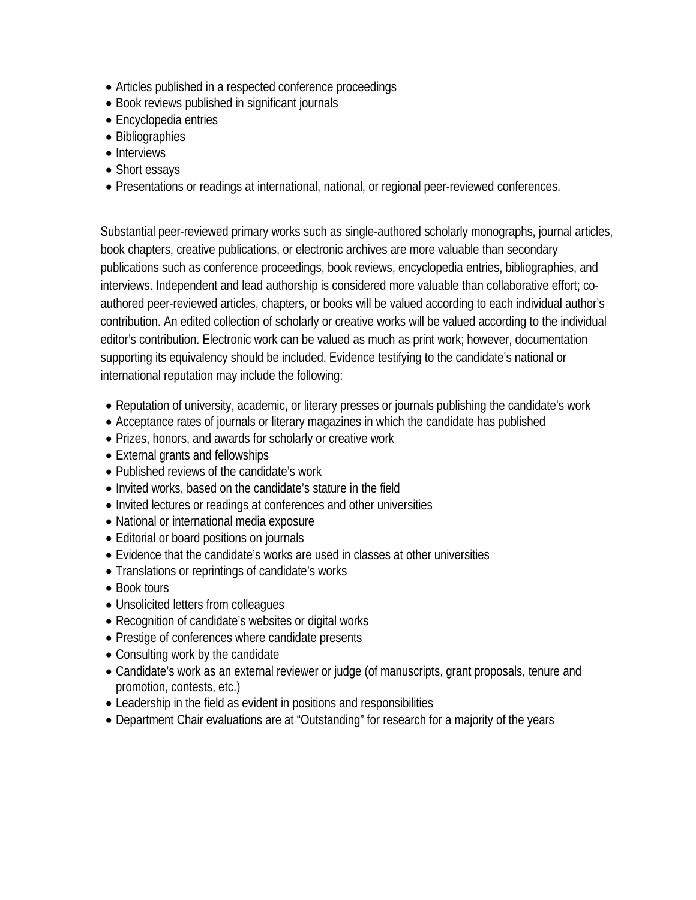- Articles published in a respected conference proceedings
- Book reviews published in significant journals
- Encyclopedia entries
- Bibliographies
- Interviews
- Short essays
- Presentations or readings at international, national, or regional peer-reviewed conferences.

Substantial peer-reviewed primary works such as single-authored scholarly monographs, journal articles, book chapters, creative publications, or electronic archives are more valuable than secondary publications such as conference proceedings, book reviews, encyclopedia entries, bibliographies, and interviews. Independent and lead authorship is considered more valuable than collaborative effort; coauthored peer-reviewed articles, chapters, or books will be valued according to each individual author's contribution. An edited collection of scholarly or creative works will be valued according to the individual editor's contribution. Electronic work can be valued as much as print work; however, documentation supporting its equivalency should be included. Evidence testifying to the candidate's national or international reputation may include the following:

- Reputation of university, academic, or literary presses or journals publishing the candidate's work
- Acceptance rates of journals or literary magazines in which the candidate has published
- Prizes, honors, and awards for scholarly or creative work
- External grants and fellowships
- Published reviews of the candidate's work
- Invited works, based on the candidate's stature in the field
- Invited lectures or readings at conferences and other universities
- National or international media exposure
- Editorial or board positions on journals
- Evidence that the candidate's works are used in classes at other universities
- Translations or reprintings of candidate's works
- Book tours
- Unsolicited letters from colleagues
- Recognition of candidate's websites or digital works
- Prestige of conferences where candidate presents
- Consulting work by the candidate
- Candidate's work as an external reviewer or judge (of manuscripts, grant proposals, tenure and promotion, contests, etc.)
- Leadership in the field as evident in positions and responsibilities
- Department Chair evaluations are at "Outstanding" for research for a majority of the years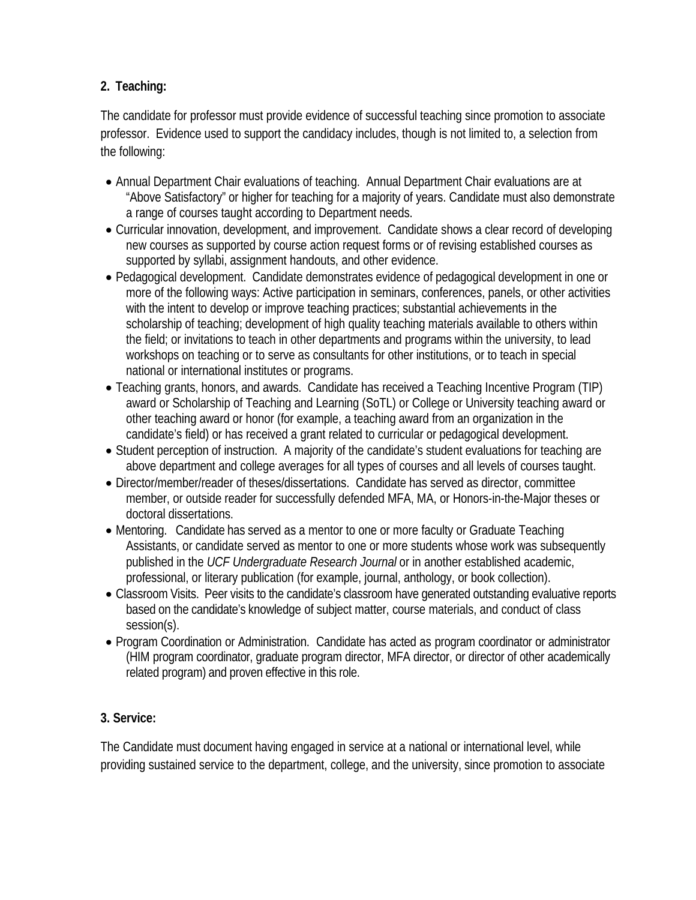# **2. Teaching:**

The candidate for professor must provide evidence of successful teaching since promotion to associate professor. Evidence used to support the candidacy includes, though is not limited to, a selection from the following:

- Annual Department Chair evaluations of teaching. Annual Department Chair evaluations are at "Above Satisfactory" or higher for teaching for a majority of years. Candidate must also demonstrate a range of courses taught according to Department needs.
- Curricular innovation, development, and improvement. Candidate shows a clear record of developing new courses as supported by course action request forms or of revising established courses as supported by syllabi, assignment handouts, and other evidence.
- Pedagogical development. Candidate demonstrates evidence of pedagogical development in one or more of the following ways: Active participation in seminars, conferences, panels, or other activities with the intent to develop or improve teaching practices; substantial achievements in the scholarship of teaching; development of high quality teaching materials available to others within the field; or invitations to teach in other departments and programs within the university, to lead workshops on teaching or to serve as consultants for other institutions, or to teach in special national or international institutes or programs.
- Teaching grants, honors, and awards. Candidate has received a Teaching Incentive Program (TIP) award or Scholarship of Teaching and Learning (SoTL) or College or University teaching award or other teaching award or honor (for example, a teaching award from an organization in the candidate's field) or has received a grant related to curricular or pedagogical development.
- Student perception of instruction. A majority of the candidate's student evaluations for teaching are above department and college averages for all types of courses and all levels of courses taught.
- Director/member/reader of theses/dissertations. Candidate has served as director, committee member, or outside reader for successfully defended MFA, MA, or Honors-in-the-Major theses or doctoral dissertations.
- Mentoring. Candidate has served as a mentor to one or more faculty or Graduate Teaching Assistants, or candidate served as mentor to one or more students whose work was subsequently published in the *UCF Undergraduate Research Journal* or in another established academic, professional, or literary publication (for example, journal, anthology, or book collection).
- Classroom Visits. Peer visits to the candidate's classroom have generated outstanding evaluative reports based on the candidate's knowledge of subject matter, course materials, and conduct of class session(s).
- Program Coordination or Administration. Candidate has acted as program coordinator or administrator (HIM program coordinator, graduate program director, MFA director, or director of other academically related program) and proven effective in this role.

# **3. Service:**

The Candidate must document having engaged in service at a national or international level, while providing sustained service to the department, college, and the university, since promotion to associate